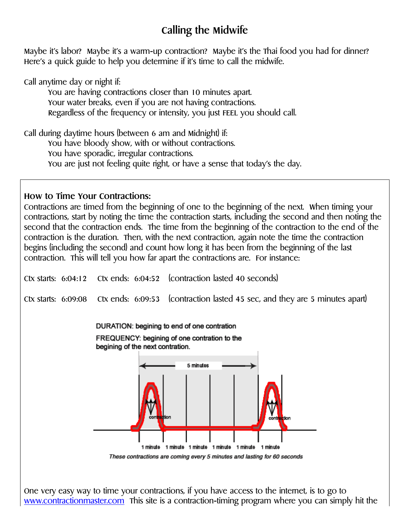## **Calling the Midwife**

Maybe it's labor? Maybe it's a warm-up contraction? Maybe it's the Thai food you had for dinner? Here's a quick guide to help you determine if it's time to call the midwife.

Call anytime day or night if:

You are having contractions closer than 10 minutes apart. Your water breaks, even if you are not having contractions. Regardless of the frequency or intensity, you just FEEL you should call.

Call during daytime hours (between 6 am and Midnight) if: You have bloody show, with or without contractions. You have sporadic, irregular contractions. You are just not feeling quite right, or have a sense that today's the day.

## **How to Time Your Contractions:**

Contractions are timed from the beginning of one to the beginning of the next. When timing your contractions, start by noting the time the contraction starts, including the second and then noting the second that the contraction ends. The time from the beginning of the contraction to the end of the contraction is the duration. Then, with the next contraction, again note the time the contraction begins (including the second) and count how long it has been from the beginning of the last contraction. This will tell you how far apart the contractions are. For instance:



One very easy way to time your contractions, if you have access to the internet, is to go to [www.contractionmaster.com](http://www.contractionmaster.com/) This site is a contraction-timing program where you can simply hit the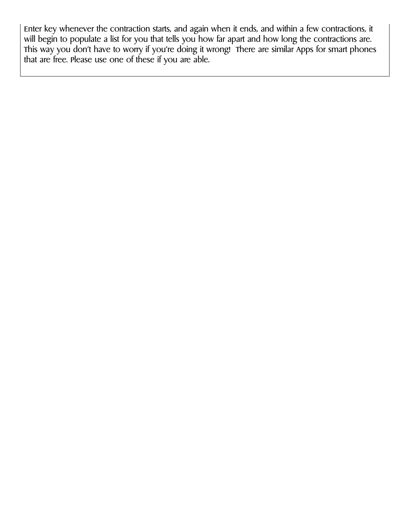Enter key whenever the contraction starts, and again when it ends, and within a few contractions, it will begin to populate a list for you that tells you how far apart and how long the contractions are. This way you don't have to worry if you're doing it wrong! There are similar Apps for smart phones that are free. Please use one of these if you are able.